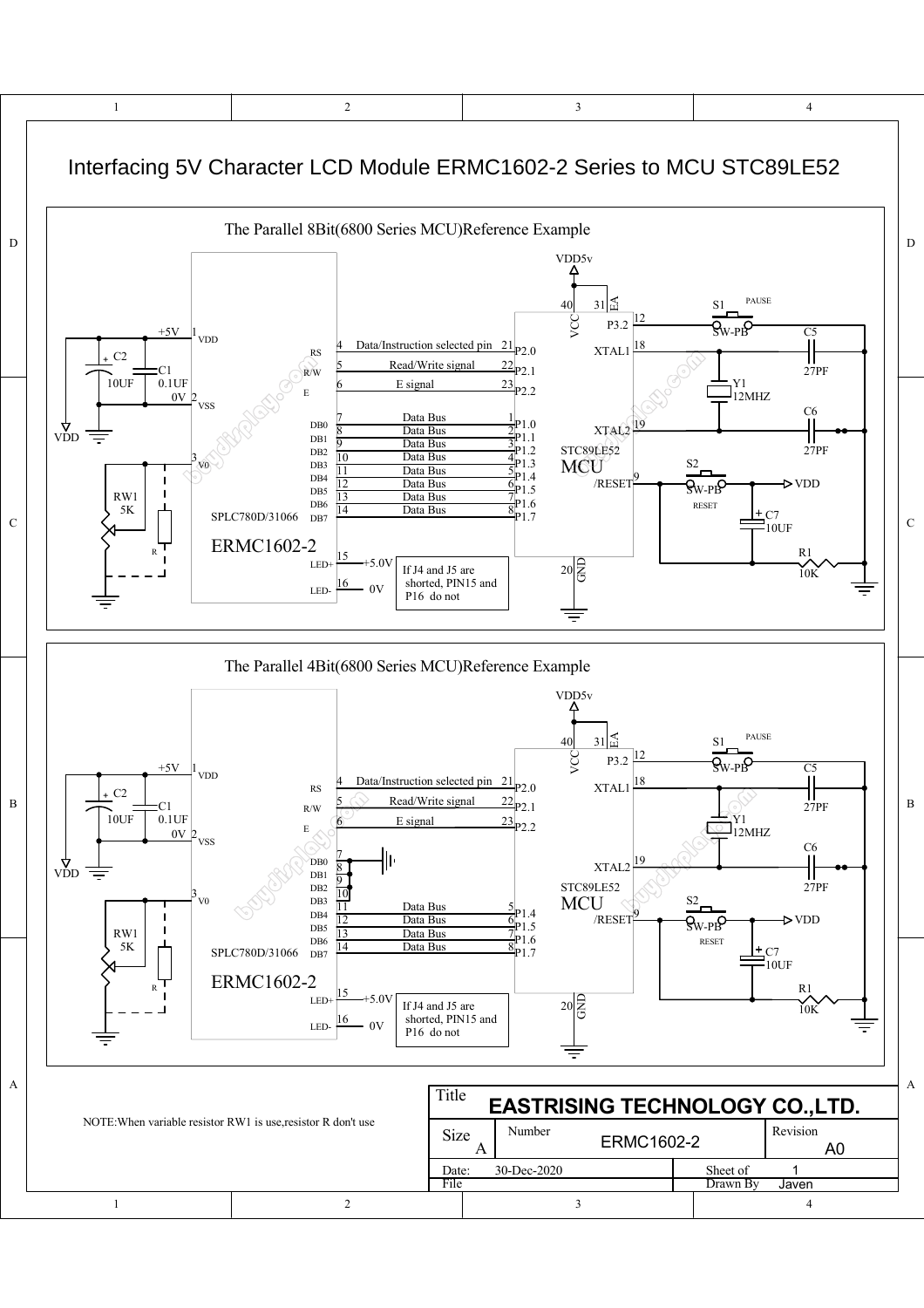